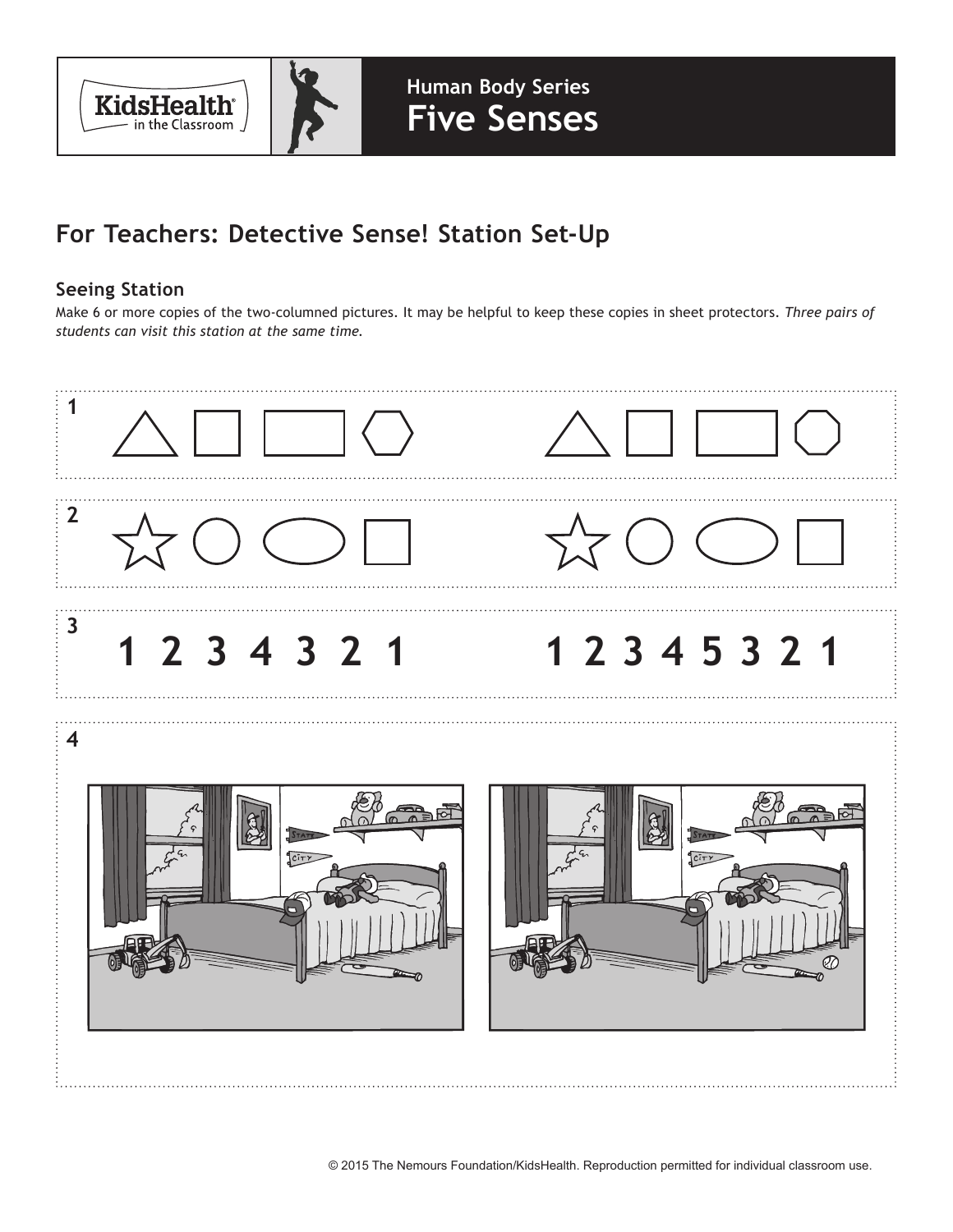

## **For Teachers: Detective Sense! Station Set-Up**

## **Seeing Station**

Make 6 or more copies of the two-columned pictures. It may be helpful to keep these copies in sheet protectors. *Three pairs of students can visit this station at the same time.*